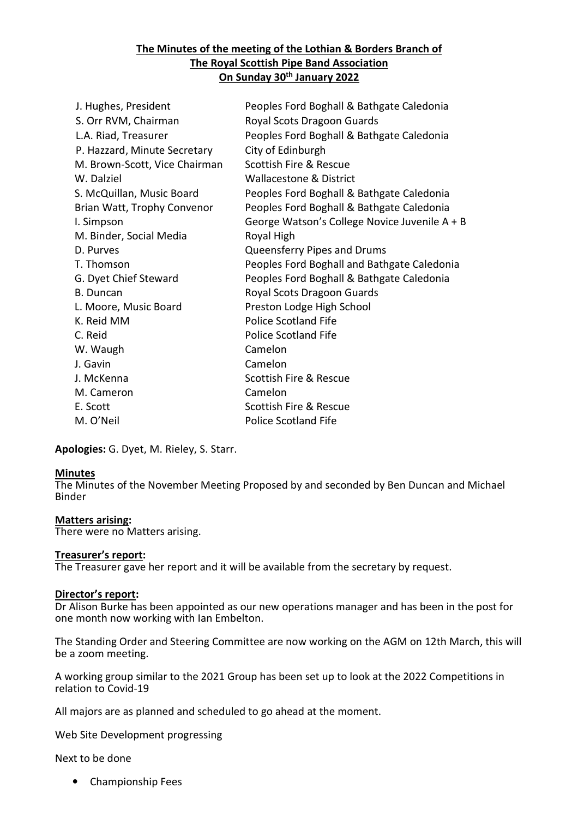## **The Minutes of the meeting of the Lothian & Borders Branch of The Royal Scottish Pipe Band Association On Sunday 30th January 2022**

| J. Hughes, President          | Peoples Ford Boghall & Bathgate Caledonia     |
|-------------------------------|-----------------------------------------------|
| S. Orr RVM, Chairman          | Royal Scots Dragoon Guards                    |
| L.A. Riad, Treasurer          | Peoples Ford Boghall & Bathgate Caledonia     |
| P. Hazzard, Minute Secretary  | City of Edinburgh                             |
| M. Brown-Scott, Vice Chairman | Scottish Fire & Rescue                        |
| W. Dalziel                    | <b>Wallacestone &amp; District</b>            |
| S. McQuillan, Music Board     | Peoples Ford Boghall & Bathgate Caledonia     |
| Brian Watt, Trophy Convenor   | Peoples Ford Boghall & Bathgate Caledonia     |
| I. Simpson                    | George Watson's College Novice Juvenile A + B |
| M. Binder, Social Media       | Royal High                                    |
| D. Purves                     | Queensferry Pipes and Drums                   |
| T. Thomson                    | Peoples Ford Boghall and Bathgate Caledonia   |
| G. Dyet Chief Steward         | Peoples Ford Boghall & Bathgate Caledonia     |
| <b>B.</b> Duncan              | Royal Scots Dragoon Guards                    |
| L. Moore, Music Board         | Preston Lodge High School                     |
| K. Reid MM                    | <b>Police Scotland Fife</b>                   |
| C. Reid                       | <b>Police Scotland Fife</b>                   |
| W. Waugh                      | Camelon                                       |
| J. Gavin                      | Camelon                                       |
| J. McKenna                    | Scottish Fire & Rescue                        |
| M. Cameron                    | Camelon                                       |
| E. Scott                      | Scottish Fire & Rescue                        |
| M. O'Neil                     | <b>Police Scotland Fife</b>                   |

**Apologies:** G. Dyet, M. Rieley, S. Starr.

### **Minutes**

The Minutes of the November Meeting Proposed by and seconded by Ben Duncan and Michael Binder

#### **Matters arising:**

There were no Matters arising.

#### **Treasurer's report:**

The Treasurer gave her report and it will be available from the secretary by request.

#### **Director's report:**

Dr Alison Burke has been appointed as our new operations manager and has been in the post for one month now working with Ian Embelton.

The Standing Order and Steering Committee are now working on the AGM on 12th March, this will be a zoom meeting.

A working group similar to the 2021 Group has been set up to look at the 2022 Competitions in relation to Covid-19

All majors are as planned and scheduled to go ahead at the moment.

Web Site Development progressing

Next to be done

• Championship Fees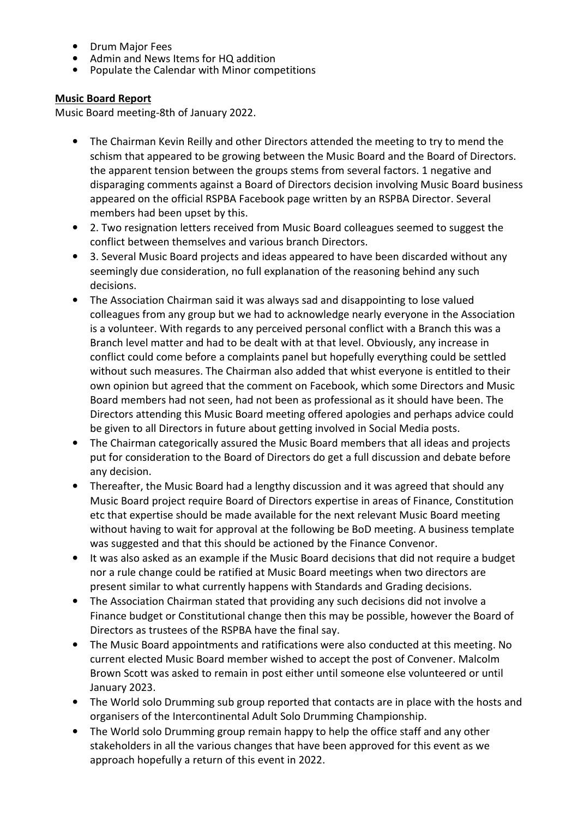- Drum Major Fees
- Admin and News Items for HQ addition
- Populate the Calendar with Minor competitions

# **Music Board Report**

Music Board meeting-8th of January 2022.

- The Chairman Kevin Reilly and other Directors attended the meeting to try to mend the schism that appeared to be growing between the Music Board and the Board of Directors. the apparent tension between the groups stems from several factors. 1 negative and disparaging comments against a Board of Directors decision involving Music Board business appeared on the official RSPBA Facebook page written by an RSPBA Director. Several members had been upset by this.
- 2. Two resignation letters received from Music Board colleagues seemed to suggest the conflict between themselves and various branch Directors.
- 3. Several Music Board projects and ideas appeared to have been discarded without any seemingly due consideration, no full explanation of the reasoning behind any such decisions.
- The Association Chairman said it was always sad and disappointing to lose valued colleagues from any group but we had to acknowledge nearly everyone in the Association is a volunteer. With regards to any perceived personal conflict with a Branch this was a Branch level matter and had to be dealt with at that level. Obviously, any increase in conflict could come before a complaints panel but hopefully everything could be settled without such measures. The Chairman also added that whist everyone is entitled to their own opinion but agreed that the comment on Facebook, which some Directors and Music Board members had not seen, had not been as professional as it should have been. The Directors attending this Music Board meeting offered apologies and perhaps advice could be given to all Directors in future about getting involved in Social Media posts.
- The Chairman categorically assured the Music Board members that all ideas and projects put for consideration to the Board of Directors do get a full discussion and debate before any decision.
- Thereafter, the Music Board had a lengthy discussion and it was agreed that should any Music Board project require Board of Directors expertise in areas of Finance, Constitution etc that expertise should be made available for the next relevant Music Board meeting without having to wait for approval at the following be BoD meeting. A business template was suggested and that this should be actioned by the Finance Convenor.
- It was also asked as an example if the Music Board decisions that did not require a budget nor a rule change could be ratified at Music Board meetings when two directors are present similar to what currently happens with Standards and Grading decisions.
- The Association Chairman stated that providing any such decisions did not involve a Finance budget or Constitutional change then this may be possible, however the Board of Directors as trustees of the RSPBA have the final say.
- The Music Board appointments and ratifications were also conducted at this meeting. No current elected Music Board member wished to accept the post of Convener. Malcolm Brown Scott was asked to remain in post either until someone else volunteered or until January 2023.
- The World solo Drumming sub group reported that contacts are in place with the hosts and organisers of the Intercontinental Adult Solo Drumming Championship.
- The World solo Drumming group remain happy to help the office staff and any other stakeholders in all the various changes that have been approved for this event as we approach hopefully a return of this event in 2022.